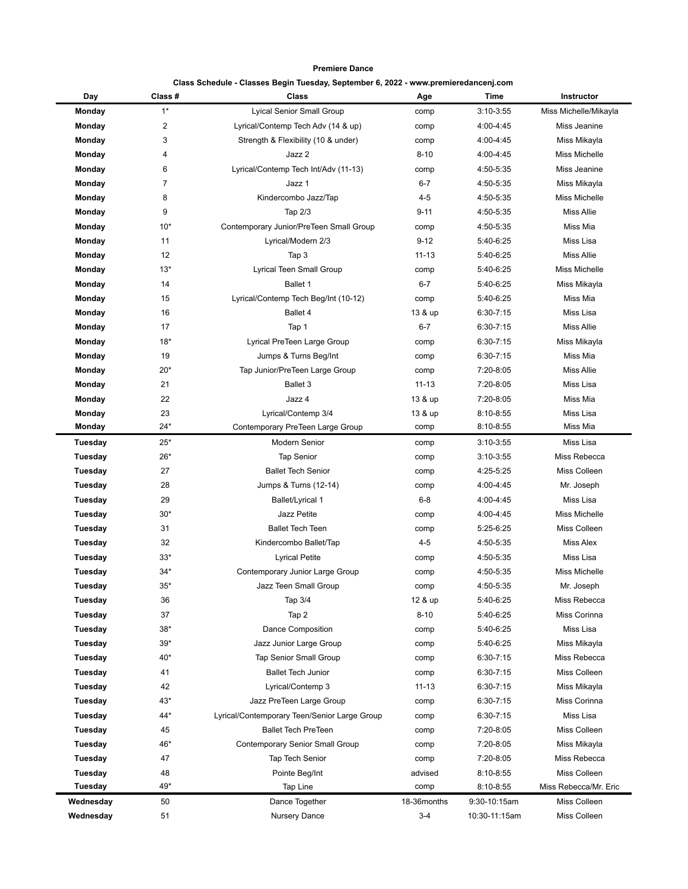**Premiere Dance**

|  |  |  |  | Class Schedule - Classes Begin Tuesday, September 6, 2022 - www.premieredancenj.com |
|--|--|--|--|-------------------------------------------------------------------------------------|
|--|--|--|--|-------------------------------------------------------------------------------------|

| Day            | Class# | Class                                        | Age         | Time          | Instructor            |
|----------------|--------|----------------------------------------------|-------------|---------------|-----------------------|
| Monday         | $1*$   | <b>Lyical Senior Small Group</b>             | comp        | $3:10-3:55$   | Miss Michelle/Mikayla |
| Monday         | 2      | Lyrical/Contemp Tech Adv (14 & up)           | comp        | 4:00-4:45     | Miss Jeanine          |
| Monday         | 3      | Strength & Flexibility (10 & under)          | comp        | 4:00-4:45     | Miss Mikayla          |
| Monday         | 4      | Jazz 2                                       | $8 - 10$    | 4:00-4:45     | Miss Michelle         |
| Monday         | 6      | Lyrical/Contemp Tech Int/Adv (11-13)         | comp        | 4:50-5:35     | Miss Jeanine          |
| Monday         | 7      | Jazz 1                                       | $6 - 7$     | 4:50-5:35     | Miss Mikayla          |
| Monday         | 8      | Kindercombo Jazz/Tap                         | $4 - 5$     | 4:50-5:35     | Miss Michelle         |
| Monday         | 9      | Tap 2/3                                      | $9 - 11$    | 4:50-5:35     | <b>Miss Allie</b>     |
| Monday         | $10*$  | Contemporary Junior/PreTeen Small Group      | comp        | 4:50-5:35     | Miss Mia              |
| Monday         | 11     | Lyrical/Modern 2/3                           | $9 - 12$    | 5:40-6:25     | Miss Lisa             |
| Monday         | 12     | Tap 3                                        | $11 - 13$   | 5:40-6:25     | <b>Miss Allie</b>     |
| Monday         | $13*$  | Lyrical Teen Small Group                     | comp        | 5:40-6:25     | <b>Miss Michelle</b>  |
| Monday         | 14     | Ballet 1                                     | $6 - 7$     | 5:40-6:25     | Miss Mikayla          |
| Monday         | 15     | Lyrical/Contemp Tech Beg/Int (10-12)         | comp        | 5:40-6:25     | Miss Mia              |
| Monday         | 16     | Ballet 4                                     | 13 & up     | $6:30 - 7:15$ | Miss Lisa             |
| Monday         | 17     | Tap 1                                        | $6 - 7$     | $6:30 - 7:15$ | <b>Miss Allie</b>     |
| Monday         | $18*$  | Lyrical PreTeen Large Group                  | comp        | $6:30 - 7:15$ | Miss Mikayla          |
| Monday         | 19     | Jumps & Turns Beg/Int                        | comp        | $6:30 - 7:15$ | Miss Mia              |
| Monday         | $20*$  | Tap Junior/PreTeen Large Group               | comp        | 7:20-8:05     | <b>Miss Allie</b>     |
| Monday         | 21     | <b>Ballet 3</b>                              | $11 - 13$   | 7:20-8:05     | Miss Lisa             |
| Monday         | 22     | Jazz 4                                       | 13 & up     | 7:20-8:05     | Miss Mia              |
| Monday         | 23     | Lyrical/Contemp 3/4                          | 13 & up     | 8:10-8:55     | Miss Lisa             |
| Monday         | $24*$  | Contemporary PreTeen Large Group             | comp        | $8:10 - 8:55$ | Miss Mia              |
| <b>Tuesday</b> | $25*$  | <b>Modern Senior</b>                         | comp        | $3:10-3:55$   | Miss Lisa             |
| <b>Tuesday</b> | $26*$  | <b>Tap Senior</b>                            | comp        | $3:10-3:55$   | Miss Rebecca          |
| <b>Tuesday</b> | 27     | <b>Ballet Tech Senior</b>                    | comp        | 4:25-5:25     | Miss Colleen          |
| <b>Tuesday</b> | 28     | Jumps & Turns (12-14)                        | comp        | 4:00-4:45     | Mr. Joseph            |
| <b>Tuesday</b> | 29     | <b>Ballet/Lyrical 1</b>                      | $6 - 8$     | 4:00-4:45     | Miss Lisa             |
| <b>Tuesday</b> | $30*$  | <b>Jazz Petite</b>                           | comp        | 4:00-4:45     | <b>Miss Michelle</b>  |
| <b>Tuesday</b> | 31     | <b>Ballet Tech Teen</b>                      | comp        | 5:25-6:25     | Miss Colleen          |
| Tuesday        | 32     | Kindercombo Ballet/Tap                       | $4 - 5$     | 4:50-5:35     | <b>Miss Alex</b>      |
| <b>Tuesday</b> | $33*$  | <b>Lyrical Petite</b>                        | comp        | 4:50-5:35     | Miss Lisa             |
| Tuesday        | 34*    | Contemporary Junior Large Group              | comp        | 4:50-5:35     | Miss Michelle         |
| Tuesday        | $35*$  | Jazz Teen Small Group                        | comp        | 4:50-5:35     | Mr. Joseph            |
| <b>Tuesday</b> | 36     | Tap 3/4                                      | 12 & up     | 5:40-6:25     | Miss Rebecca          |
| Tuesday        | 37     | Tap 2                                        | $8 - 10$    | 5:40-6:25     | Miss Corinna          |
| <b>Tuesday</b> | $38*$  | <b>Dance Composition</b>                     | comp        | 5:40-6:25     | Miss Lisa             |
| <b>Tuesday</b> | $39*$  | Jazz Junior Large Group                      | comp        | 5:40-6:25     | Miss Mikayla          |
| <b>Tuesday</b> | 40*    | <b>Tap Senior Small Group</b>                | comp        | $6:30 - 7:15$ | Miss Rebecca          |
| Tuesday        | 41     | <b>Ballet Tech Junior</b>                    | comp        | $6:30 - 7:15$ | Miss Colleen          |
| <b>Tuesday</b> | 42     | Lyrical/Contemp 3                            | $11 - 13$   | $6:30 - 7:15$ | Miss Mikayla          |
| <b>Tuesday</b> | 43*    | Jazz PreTeen Large Group                     | comp        | $6:30 - 7:15$ | Miss Corinna          |
| <b>Tuesday</b> | 44*    | Lyrical/Contemporary Teen/Senior Large Group | comp        | $6:30 - 7:15$ | Miss Lisa             |
| <b>Tuesday</b> | 45     | <b>Ballet Tech PreTeen</b>                   | comp        | 7:20-8:05     | Miss Colleen          |
| Tuesday        | 46*    | <b>Contemporary Senior Small Group</b>       | comp        | 7:20-8:05     | Miss Mikayla          |
| Tuesday        | 47     | Tap Tech Senior                              | comp        | 7:20-8:05     | Miss Rebecca          |
| <b>Tuesday</b> | 48     | Pointe Beg/Int                               | advised     | 8:10-8:55     | Miss Colleen          |
| Tuesday        | 49*    | Tap Line                                     | comp        | 8:10-8:55     | Miss Rebecca/Mr. Eric |
| Wednesday      | 50     | Dance Together                               | 18-36months | 9:30-10:15am  | Miss Colleen          |
| Wednesday      | 51     | Nursery Dance                                | $3 - 4$     | 10:30-11:15am | Miss Colleen          |
|                |        |                                              |             |               |                       |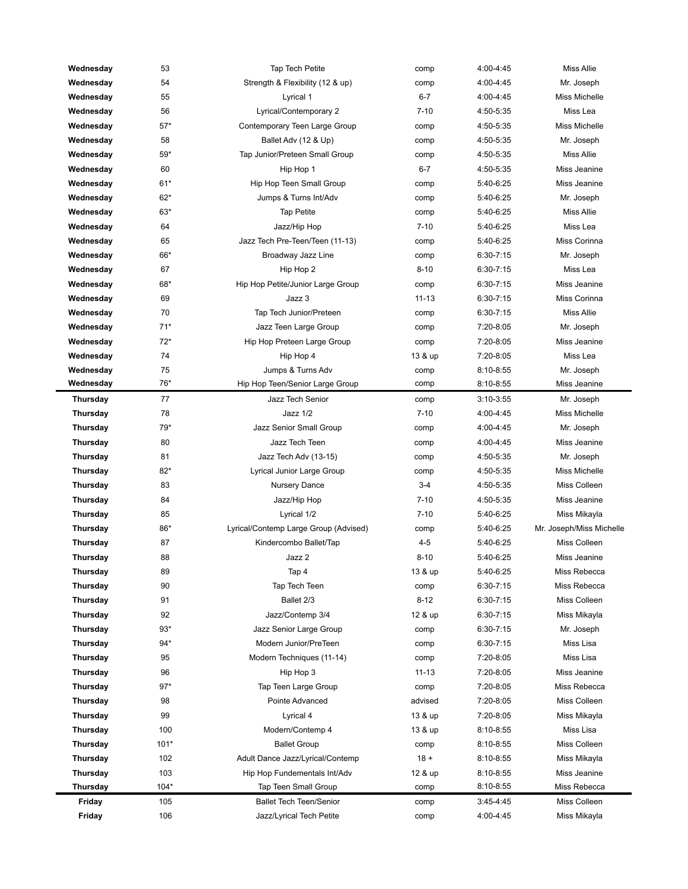| Wednesday       | 53     | <b>Tap Tech Petite</b>                | comp      | 4:00-4:45     | <b>Miss Allie</b>        |
|-----------------|--------|---------------------------------------|-----------|---------------|--------------------------|
| Wednesday       | 54     | Strength & Flexibility (12 & up)      | comp      | 4:00-4:45     | Mr. Joseph               |
| Wednesday       | 55     | Lyrical 1                             | $6 - 7$   | 4:00-4:45     | <b>Miss Michelle</b>     |
| Wednesday       | 56     | Lyrical/Contemporary 2                | $7 - 10$  | 4:50-5:35     | Miss Lea                 |
| Wednesday       | $57*$  | Contemporary Teen Large Group         | comp      | 4:50-5:35     | <b>Miss Michelle</b>     |
| Wednesday       | 58     | Ballet Adv (12 & Up)                  | comp      | 4:50-5:35     | Mr. Joseph               |
| Wednesday       | 59*    | Tap Junior/Preteen Small Group        | comp      | 4:50-5:35     | <b>Miss Allie</b>        |
| Wednesday       | 60     | Hip Hop 1                             | $6 - 7$   | 4:50-5:35     | Miss Jeanine             |
| Wednesday       | $61*$  | Hip Hop Teen Small Group              | comp      | 5:40-6:25     | Miss Jeanine             |
| Wednesday       | $62*$  | Jumps & Turns Int/Adv                 | comp      | 5:40-6:25     | Mr. Joseph               |
| Wednesday       | $63*$  | <b>Tap Petite</b>                     | comp      | 5:40-6:25     | <b>Miss Allie</b>        |
| Wednesday       | 64     | Jazz/Hip Hop                          | $7 - 10$  | 5:40-6:25     | Miss Lea                 |
| Wednesday       | 65     | Jazz Tech Pre-Teen/Teen (11-13)       | comp      | 5:40-6:25     | Miss Corinna             |
| Wednesday       | 66*    | Broadway Jazz Line                    | comp      | $6:30 - 7:15$ | Mr. Joseph               |
| Wednesday       | 67     | Hip Hop 2                             | $8 - 10$  | $6:30 - 7:15$ | Miss Lea                 |
| Wednesday       | 68*    | Hip Hop Petite/Junior Large Group     | comp      | $6:30 - 7:15$ | Miss Jeanine             |
| Wednesday       | 69     | Jazz 3                                | $11 - 13$ | $6:30 - 7:15$ | Miss Corinna             |
| Wednesday       | 70     | Tap Tech Junior/Preteen               | comp      | $6:30 - 7:15$ | <b>Miss Allie</b>        |
| Wednesday       | $71*$  | Jazz Teen Large Group                 | comp      | 7:20-8:05     | Mr. Joseph               |
| Wednesday       | $72*$  | Hip Hop Preteen Large Group           | comp      | 7:20-8:05     | Miss Jeanine             |
| Wednesday       | 74     | Hip Hop 4                             | 13 & up   | 7:20-8:05     | Miss Lea                 |
| Wednesday       | 75     | Jumps & Turns Adv                     | comp      | $8:10-8:55$   | Mr. Joseph               |
| Wednesday       | 76*    | Hip Hop Teen/Senior Large Group       | comp      | 8:10-8:55     | Miss Jeanine             |
| Thursday        | 77     | Jazz Tech Senior                      | comp      | $3:10-3:55$   | Mr. Joseph               |
| Thursday        | 78     | Jazz 1/2                              | $7 - 10$  | 4:00-4:45     | <b>Miss Michelle</b>     |
| Thursday        | 79*    | Jazz Senior Small Group               | comp      | 4:00-4:45     | Mr. Joseph               |
| Thursday        | 80     | Jazz Tech Teen                        | comp      | 4:00-4:45     | Miss Jeanine             |
| Thursday        | 81     | Jazz Tech Adv (13-15)                 | comp      | 4:50-5:35     | Mr. Joseph               |
| Thursday        | $82*$  | Lyrical Junior Large Group            | comp      | 4:50-5:35     | <b>Miss Michelle</b>     |
| Thursday        | 83     | Nursery Dance                         | $3 - 4$   | 4:50-5:35     | Miss Colleen             |
| Thursday        | 84     | Jazz/Hip Hop                          | $7 - 10$  | 4:50-5:35     | Miss Jeanine             |
| Thursday        | 85     | Lyrical 1/2                           | $7 - 10$  | 5:40-6:25     | Miss Mikayla             |
| <b>Thursday</b> | 86*    | Lyrical/Contemp Large Group (Advised) | comp      | 5:40-6:25     | Mr. Joseph/Miss Michelle |
| Thursday        | 87     | Kindercombo Ballet/Tap                | $4 - 5$   | 5:40-6:25     | Miss Colleen             |
| Thursday        | 88     | Jazz 2                                | $8 - 10$  | 5:40-6:25     | Miss Jeanine             |
| <b>Thursday</b> | 89     | Tap 4                                 | 13 & up   | 5:40-6:25     | Miss Rebecca             |
| Thursday        | 90     | Tap Tech Teen                         | comp      | $6:30 - 7:15$ | Miss Rebecca             |
| Thursday        | 91     | Ballet 2/3                            | $8 - 12$  | $6:30 - 7:15$ | Miss Colleen             |
| Thursday        | 92     | Jazz/Contemp 3/4                      | 12 & up   | $6:30 - 7:15$ | Miss Mikayla             |
| Thursday        | $93*$  | Jazz Senior Large Group               | comp      | $6:30 - 7:15$ | Mr. Joseph               |
| Thursday        | $94*$  | Modern Junior/PreTeen                 | comp      | $6:30 - 7:15$ | Miss Lisa                |
| Thursday        | 95     | Modern Techniques (11-14)             | comp      | 7:20-8:05     | Miss Lisa                |
| Thursday        | 96     | Hip Hop 3                             | $11 - 13$ | 7:20-8:05     | Miss Jeanine             |
| Thursday        | $97*$  | Tap Teen Large Group                  | comp      | 7:20-8:05     | Miss Rebecca             |
| Thursday        | 98     | Pointe Advanced                       | advised   | 7:20-8:05     | Miss Colleen             |
| Thursday        | 99     | Lyrical 4                             | 13 & up   | 7:20-8:05     | Miss Mikayla             |
| Thursday        | 100    | Modern/Contemp 4                      | 13 & up   | 8:10-8:55     | Miss Lisa                |
| Thursday        | $101*$ | <b>Ballet Group</b>                   | comp      | 8:10-8:55     | Miss Colleen             |
| Thursday        | 102    | Adult Dance Jazz/Lyrical/Contemp      | $18 +$    | 8:10-8:55     | Miss Mikayla             |
| Thursday        | 103    | Hip Hop Fundementals Int/Adv          | 12 & up   | 8:10-8:55     | Miss Jeanine             |
| <b>Thursday</b> | $104*$ | Tap Teen Small Group                  | comp      | 8:10-8:55     | Miss Rebecca             |
| Friday          | 105    | <b>Ballet Tech Teen/Senior</b>        | comp      | 3:45-4:45     | Miss Colleen             |
| Friday          | 106    | Jazz/Lyrical Tech Petite              | comp      | 4:00-4:45     | Miss Mikayla             |